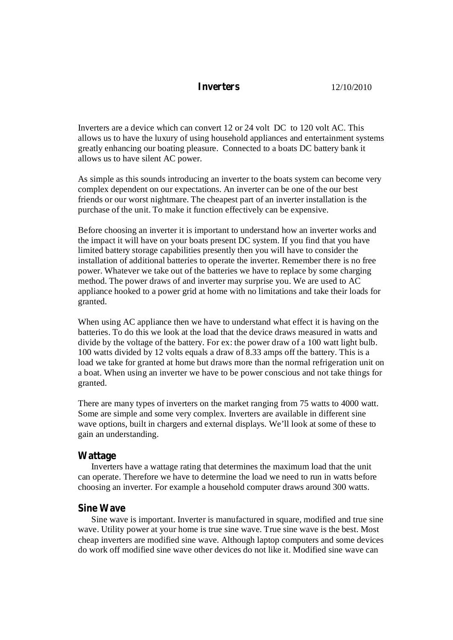## **Inverters** 12/10/2010

Inverters are a device which can convert 12 or 24 volt DC to 120 volt AC. This allows us to have the luxury of using household appliances and entertainment systems greatly enhancing our boating pleasure. Connected to a boats DC battery bank it allows us to have silent AC power.

As simple as this sounds introducing an inverter to the boats system can become very complex dependent on our expectations. An inverter can be one of the our best friends or our worst nightmare. The cheapest part of an inverter installation is the purchase of the unit. To make it function effectively can be expensive.

Before choosing an inverter it is important to understand how an inverter works and the impact it will have on your boats present DC system. If you find that you have limited battery storage capabilities presently then you will have to consider the installation of additional batteries to operate the inverter. Remember there is no free power. Whatever we take out of the batteries we have to replace by some charging method. The power draws of and inverter may surprise you. We are used to AC appliance hooked to a power grid at home with no limitations and take their loads for granted.

When using AC appliance then we have to understand what effect it is having on the batteries. To do this we look at the load that the device draws measured in watts and divide by the voltage of the battery. For ex: the power draw of a 100 watt light bulb. 100 watts divided by 12 volts equals a draw of 8.33 amps off the battery. This is a load we take for granted at home but draws more than the normal refrigeration unit on a boat. When using an inverter we have to be power conscious and not take things for granted.

There are many types of inverters on the market ranging from 75 watts to 4000 watt. Some are simple and some very complex. Inverters are available in different sine wave options, built in chargers and external displays. We'll look at some of these to gain an understanding.

#### **Wattage**

Inverters have a wattage rating that determines the maximum load that the unit can operate. Therefore we have to determine the load we need to run in watts before choosing an inverter. For example a household computer draws around 300 watts.

## **Sine Wave**

Sine wave is important. Inverter is manufactured in square, modified and true sine wave. Utility power at your home is true sine wave. True sine wave is the best. Most cheap inverters are modified sine wave. Although laptop computers and some devices do work off modified sine wave other devices do not like it. Modified sine wave can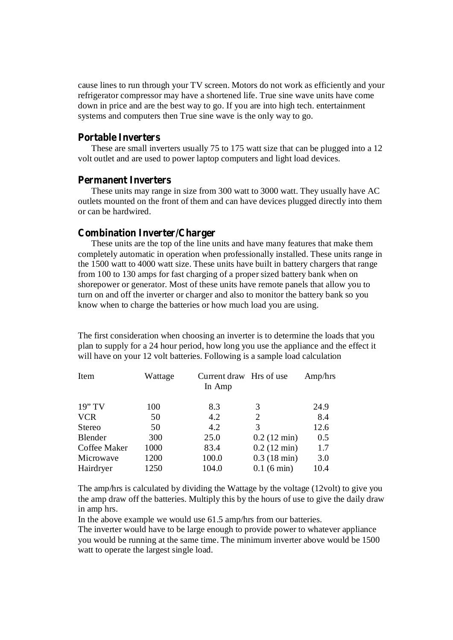cause lines to run through your TV screen. Motors do not work as efficiently and your refrigerator compressor may have a shortened life. True sine wave units have come down in price and are the best way to go. If you are into high tech. entertainment systems and computers then True sine wave is the only way to go.

## **Portable Inverters**

These are small inverters usually 75 to 175 watt size that can be plugged into a 12 volt outlet and are used to power laptop computers and light load devices.

#### **Permanent Inverters**

These units may range in size from 300 watt to 3000 watt. They usually have AC outlets mounted on the front of them and can have devices plugged directly into them or can be hardwired.

### **Combination Inverter/Charger**

These units are the top of the line units and have many features that make them completely automatic in operation when professionally installed. These units range in the 1500 watt to 4000 watt size. These units have built in battery chargers that range from 100 to 130 amps for fast charging of a proper sized battery bank when on shorepower or generator. Most of these units have remote panels that allow you to turn on and off the inverter or charger and also to monitor the battery bank so you know when to charge the batteries or how much load you are using.

The first consideration when choosing an inverter is to determine the loads that you plan to supply for a 24 hour period, how long you use the appliance and the effect it will have on your 12 volt batteries. Following is a sample load calculation

| Item         | Wattage | Current draw Hrs of use<br>In Amp |                       | Amp/hrs |
|--------------|---------|-----------------------------------|-----------------------|---------|
| 19"TV        | 100     | 8.3                               | 3                     | 24.9    |
| <b>VCR</b>   | 50      | 4.2                               | 2                     | 8.4     |
| Stereo       | 50      | 4.2                               | 3                     | 12.6    |
| Blender      | 300     | 25.0                              | $0.2(12 \text{ min})$ | 0.5     |
| Coffee Maker | 1000    | 83.4                              | $0.2(12 \text{ min})$ | 1.7     |
| Microwave    | 1200    | 100.0                             | $0.3(18 \text{ min})$ | 3.0     |
| Hairdryer    | 1250    | 104.0                             | $0.1(6 \text{ min})$  | 10.4    |

The amp/hrs is calculated by dividing the Wattage by the voltage (12volt) to give you the amp draw off the batteries. Multiply this by the hours of use to give the daily draw in amp hrs.

In the above example we would use 61.5 amp/hrs from our batteries.

The inverter would have to be large enough to provide power to whatever appliance you would be running at the same time. The minimum inverter above would be 1500 watt to operate the largest single load.